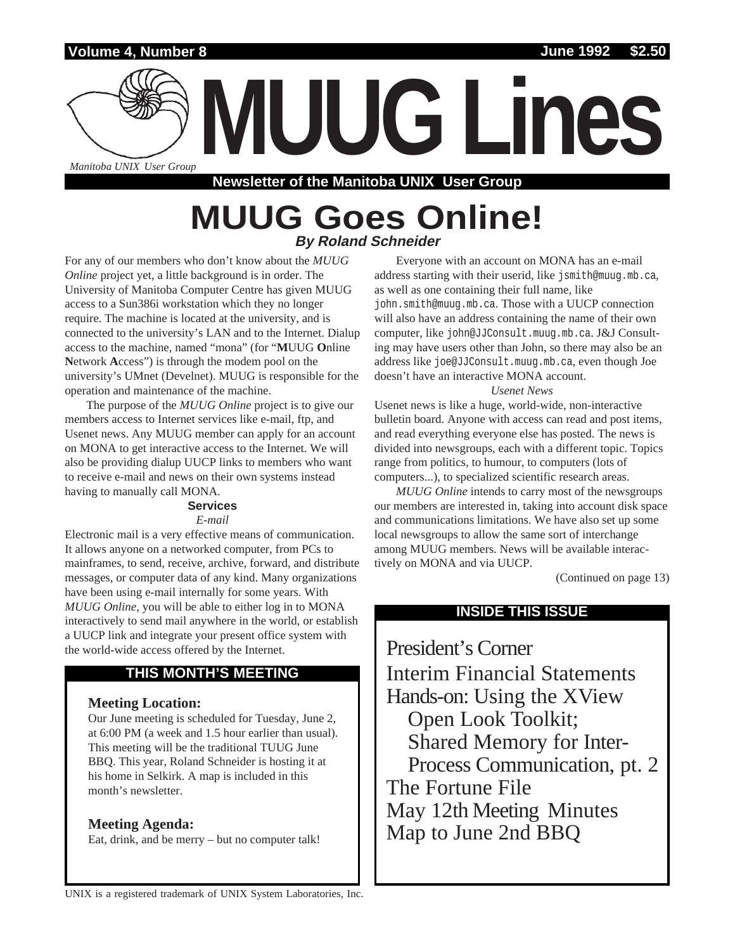

**MUUG Lines**

*Manitoba UNIXUser Group*

**Newsletter of the Manitoba UNIX User Group**

# **MUUG Goes Online! By Roland Schneider**

For any of our members who don't know about the *MUUG Online* project yet, a little background is in order. The University of Manitoba Computer Centre has given MUUG access to a Sun386i workstation which they no longer require. The machine is located at the university, and is connected to the university's LAN and to the Internet. Dialup access to the machine, named "mona" (for "**M**UUG **O**nline **N**etwork **A**ccess") is through the modem pool on the university's UMnet (Develnet). MUUG is responsible for the operation and maintenance of the machine.

The purpose of the *MUUG Online* project is to give our members access to Internet services like e-mail, ftp, and Usenet news. Any MUUG member can apply for an account on MONA to get interactive access to the Internet. We will also be providing dialup UUCP links to members who want to receive e-mail and news on their own systems instead having to manually call MONA.

## **Services**

## *E-mail*

Electronic mail is a very effective means of communication. It allows anyone on a networked computer, from PCs to mainframes, to send, receive, archive, forward, and distribute messages, or computer data of any kind. Many organizations have been using e-mail internally for some years. With *MUUG Online*, you will be able to either log in to MONA interactively to send mail anywhere in the world, or establish a UUCP link and integrate your present office system with the world-wide access offered by the Internet.

# **THIS MONTH'S MEETING**

# **Meeting Location:**

Our June meeting is scheduled for Tuesday, June 2, at 6:00 PM (a week and 1.5 hour earlier than usual). This meeting will be the traditional TUUG June BBQ. This year, Roland Schneider is hosting it at his home in Selkirk. A map is included in this month's newsletter.

# **Meeting Agenda:**

Eat, drink, and be merry – but no computer talk!

Everyone with an account on MONA has an e-mail address starting with their userid, like jsmith@muug.mb.ca, as well as one containing their full name, like john.smith@muug.mb.ca. Those with a UUCP connection will also have an address containing the name of their own computer, like john@JJConsult.muug.mb.ca. J&J Consulting may have users other than John, so there may also be an address like joe@JJConsult.muug.mb.ca, even though Joe doesn't have an interactive MONA account.

# *Usenet News*

Usenet news is like a huge, world-wide, non-interactive bulletin board. Anyone with access can read and post items, and read everything everyone else has posted. The news is divided into newsgroups, each with a different topic. Topics range from politics, to humour, to computers (lots of computers...), to specialized scientific research areas.

*MUUG Online* intends to carry most of the newsgroups our members are interested in, taking into account disk space and communications limitations. We have also set up some local newsgroups to allow the same sort of interchange among MUUG members. News will be available interactively on MONA and via UUCP.

(Continued on page 13)

# **INSIDE THIS ISSUE**

President's Corner Interim Financial Statements Hands-on: Using the XView Open Look Toolkit; Shared Memory for Inter-Process Communication, pt. 2 The Fortune File May 12th Meeting Minutes Map to June 2nd BBQ

UNIX is a registered trademark of UNIX System Laboratories, Inc.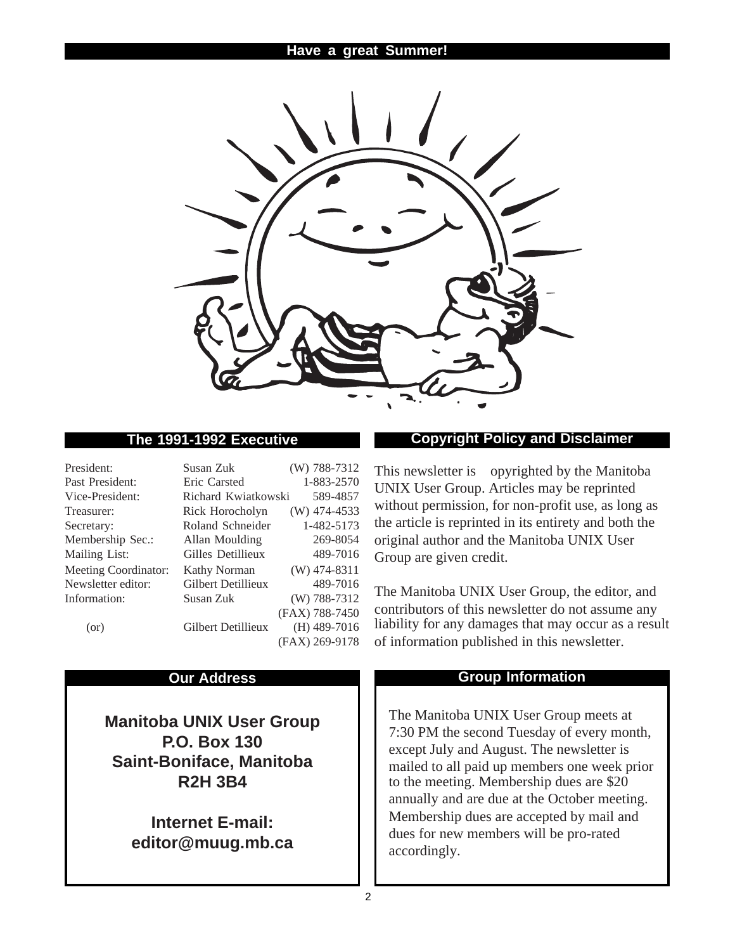

| President:                  | Susan Zuk           | (W) 788-7312   |
|-----------------------------|---------------------|----------------|
| Past President:             | Eric Carsted        | 1-883-2570     |
| Vice-President:             | Richard Kwiatkowski | 589-4857       |
| Treasurer:                  | Rick Horocholyn     | $(W)$ 474-4533 |
| Secretary:                  | Roland Schneider    | 1-482-5173     |
| Membership Sec.:            | Allan Moulding      | 269-8054       |
| Mailing List:               | Gilles Detillieux   | 489-7016       |
| <b>Meeting Coordinator:</b> | <b>Kathy Norman</b> | $(W)$ 474-8311 |
| Newsletter editor:          | Gilbert Detillieux  | 489-7016       |
| Information:                | Susan Zuk           | $(W)$ 788-7312 |
|                             |                     | (FAX) 788-7450 |
| (or)                        | Gilbert Detillieux  | $(H)$ 489-7016 |
|                             |                     | (FAX) 269-9178 |

**Manitoba UNIX User Group P.O. Box 130 Saint-Boniface, Manitoba R2H 3B4**

> **Internet E-mail: editor@muug.mb.ca**

# **The 1991-1992 Executive Copyright Policy and Disclaimer**

This newsletter is ©opyrighted by the Manitoba UNIX User Group. Articles may be reprinted without permission, for non-profit use, as long as the article is reprinted in its entirety and both the original author and the Manitoba UNIX User Group are given credit.

The Manitoba UNIX User Group, the editor, and contributors of this newsletter do not assume any liability for any damages that may occur as a result of information published in this newsletter.

# **Our Address Community Community Community Community Community Community Community Community Community Community Community Community Community Community Community Community Community Community Community Community Community**

The Manitoba UNIX User Group meets at 7:30 PM the second Tuesday of every month, except July and August. The newsletter is mailed to all paid up members one week prior to the meeting. Membership dues are \$20 annually and are due at the October meeting. Membership dues are accepted by mail and dues for new members will be pro-rated accordingly.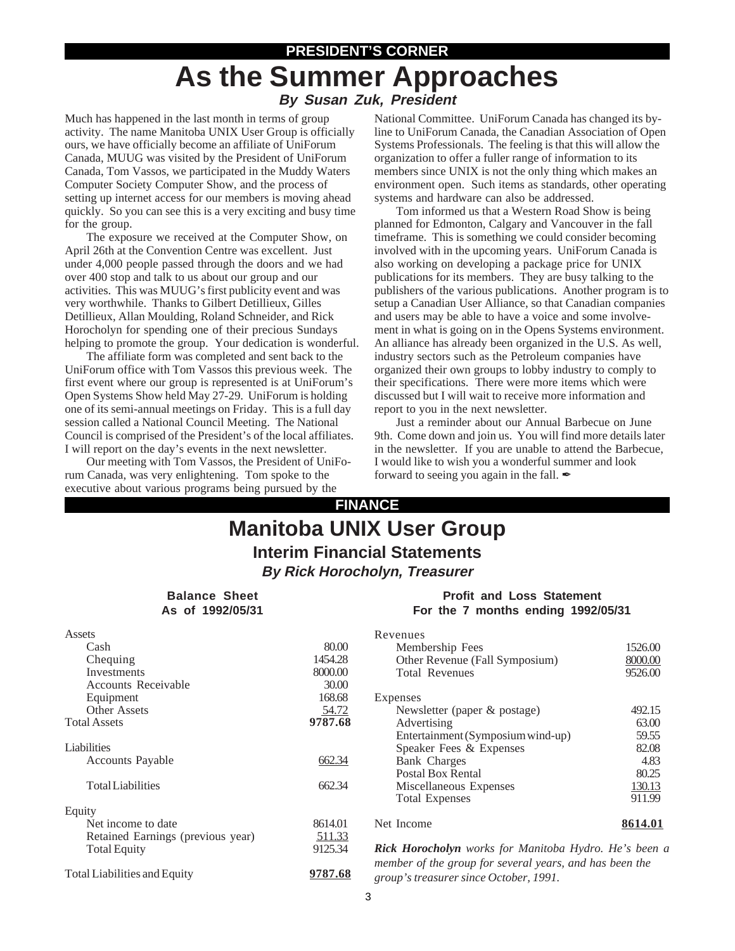# **PRESIDENT'S CORNER As the Summer Approaches By Susan Zuk, President**

Much has happened in the last month in terms of group activity. The name Manitoba UNIX User Group is officially ours, we have officially become an affiliate of UniForum Canada, MUUG was visited by the President of UniForum Canada, Tom Vassos, we participated in the Muddy Waters Computer Society Computer Show, and the process of setting up internet access for our members is moving ahead quickly. So you can see this is a very exciting and busy time for the group.

The exposure we received at the Computer Show, on April 26th at the Convention Centre was excellent. Just under 4,000 people passed through the doors and we had over 400 stop and talk to us about our group and our activities. This was MUUG's first publicity event and was very worthwhile. Thanks to Gilbert Detillieux, Gilles Detillieux, Allan Moulding, Roland Schneider, and Rick Horocholyn for spending one of their precious Sundays helping to promote the group. Your dedication is wonderful.

The affiliate form was completed and sent back to the UniForum office with Tom Vassos this previous week. The first event where our group is represented is at UniForum's Open Systems Show held May 27-29. UniForum is holding one of its semi-annual meetings on Friday. This is a full day session called a National Council Meeting. The National Council is comprised of the President's of the local affiliates. I will report on the day's events in the next newsletter.

Our meeting with Tom Vassos, the President of UniForum Canada, was very enlightening. Tom spoke to the executive about various programs being pursued by the

National Committee. UniForum Canada has changed its byline to UniForum Canada, the Canadian Association of Open Systems Professionals. The feeling is that this will allow the organization to offer a fuller range of information to its members since UNIX is not the only thing which makes an environment open. Such items as standards, other operating systems and hardware can also be addressed.

Tom informed us that a Western Road Show is being planned for Edmonton, Calgary and Vancouver in the fall timeframe. This is something we could consider becoming involved with in the upcoming years. UniForum Canada is also working on developing a package price for UNIX publications for its members. They are busy talking to the publishers of the various publications. Another program is to setup a Canadian User Alliance, so that Canadian companies and users may be able to have a voice and some involvement in what is going on in the Opens Systems environment. An alliance has already been organized in the U.S. As well, industry sectors such as the Petroleum companies have organized their own groups to lobby industry to comply to their specifications. There were more items which were discussed but I will wait to receive more information and report to you in the next newsletter.

Just a reminder about our Annual Barbecue on June 9th. Come down and join us. You will find more details later in the newsletter. If you are unable to attend the Barbecue, I would like to wish you a wonderful summer and look forward to seeing you again in the fall.  $\mathscr I$ 

# **FINANCE Manitoba UNIX User Group Interim Financial Statements By Rick Horocholyn, Treasurer**

## **Balance Sheet As of 1992/05/31**

# **Profit and Loss Statement For the 7 months ending 1992/05/31**

|         | Revenues           |
|---------|--------------------|
| 80.00   | Meml               |
| 1454.28 | Other              |
| 8000.00 | Total              |
| 30.00   |                    |
| 168.68  | Expenses           |
|         | <b>News</b>        |
| 9787.68 | Advei              |
|         | Entert             |
|         | Speak              |
| 662.34  | Bank               |
|         | Postal             |
| 662.34  | Misce              |
|         | Total              |
|         |                    |
| 8614.01 | Net Incon          |
| 511.33  |                    |
| 9125.34 | <b>Rick Hore</b>   |
|         | member of          |
| 9787.68 | <i>oroun's tra</i> |
|         | 54.72              |

| Revenues<br>Membership Fees       | 1526.00 |
|-----------------------------------|---------|
| Other Revenue (Fall Symposium)    | 8000.00 |
|                                   |         |
| <b>Total Revenues</b>             | 9526.00 |
| Expenses                          |         |
| Newsletter (paper $\&$ postage)   | 492.15  |
| Advertising                       | 63.00   |
| Entertainment (Symposium wind-up) | 59.55   |
| Speaker Fees & Expenses           | 82.08   |
| <b>Bank Charges</b>               | 4.83    |
| Postal Box Rental                 | 80.25   |
| Miscellaneous Expenses            | 130.13  |
| <b>Total Expenses</b>             | 911.99  |
| Net Income                        |         |

*Rick Horocholyn works for Manitoba Hydro. He's been a member of the group for several years, and has been the group's treasurer since October, 1991.*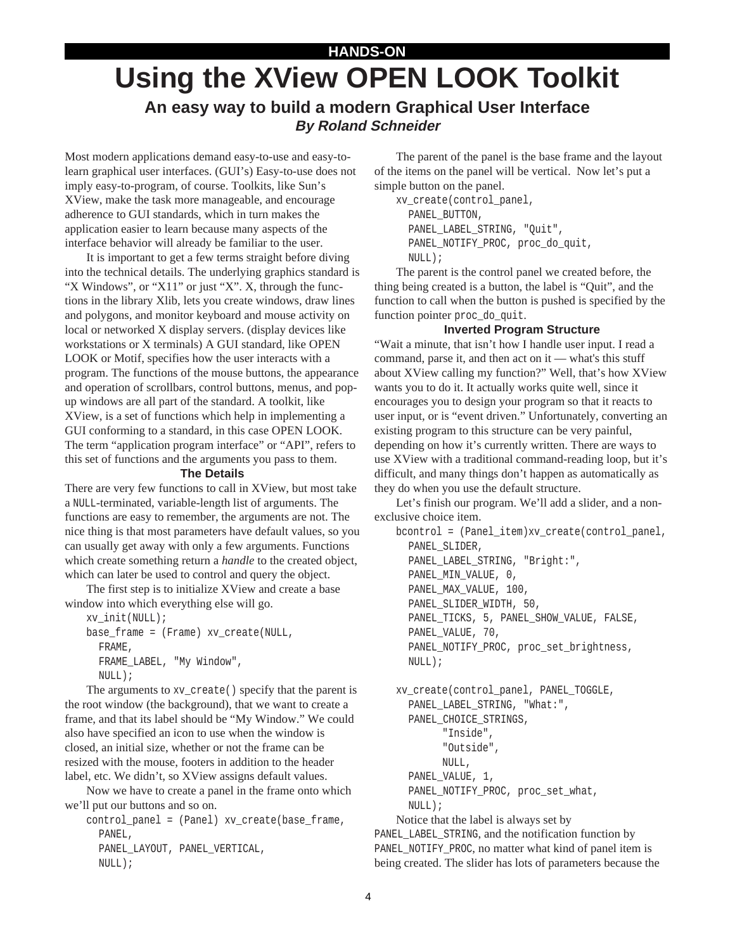# **HANDS-ON Using the XView OPEN LOOK Toolkit An easy way to build a modern Graphical User Interface By Roland Schneider**

Most modern applications demand easy-to-use and easy-tolearn graphical user interfaces. (GUI's) Easy-to-use does not imply easy-to-program, of course. Toolkits, like Sun's XView, make the task more manageable, and encourage adherence to GUI standards, which in turn makes the application easier to learn because many aspects of the interface behavior will already be familiar to the user.

It is important to get a few terms straight before diving into the technical details. The underlying graphics standard is "X Windows", or "X11" or just "X". X, through the functions in the library Xlib, lets you create windows, draw lines and polygons, and monitor keyboard and mouse activity on local or networked X display servers. (display devices like workstations or X terminals) A GUI standard, like OPEN LOOK or Motif, specifies how the user interacts with a program. The functions of the mouse buttons, the appearance and operation of scrollbars, control buttons, menus, and popup windows are all part of the standard. A toolkit, like XView, is a set of functions which help in implementing a GUI conforming to a standard, in this case OPEN LOOK. The term "application program interface" or "API", refers to this set of functions and the arguments you pass to them.

#### **The Details**

There are very few functions to call in XView, but most take a NULL-terminated, variable-length list of arguments. The functions are easy to remember, the arguments are not. The nice thing is that most parameters have default values, so you can usually get away with only a few arguments. Functions which create something return a *handle* to the created object, which can later be used to control and query the object.

The first step is to initialize XView and create a base window into which everything else will go.

```
xv_init(NULL);
base_frame = (Frame) xv_create(NULL,
  FRAME,
  FRAME_LABEL, "My Window",
  NULL);
```
The arguments to xv\_create() specify that the parent is the root window (the background), that we want to create a frame, and that its label should be "My Window." We could also have specified an icon to use when the window is closed, an initial size, whether or not the frame can be resized with the mouse, footers in addition to the header label, etc. We didn't, so XView assigns default values.

Now we have to create a panel in the frame onto which we'll put our buttons and so on.

control\_panel = (Panel) xv\_create(base\_frame, PANEL, PANEL\_LAYOUT, PANEL\_VERTICAL, NULL);

The parent of the panel is the base frame and the layout of the items on the panel will be vertical. Now let's put a simple button on the panel.

```
xv_create(control_panel,
  PANEL_BUTTON,
  PANEL_LABEL_STRING, "Quit",
  PANEL_NOTIFY_PROC, proc_do_quit,
  NULL);
```
The parent is the control panel we created before, the thing being created is a button, the label is "Quit", and the function to call when the button is pushed is specified by the function pointer proc\_do\_quit.

#### **Inverted Program Structure**

"Wait a minute, that isn't how I handle user input. I read a command, parse it, and then act on it — what's this stuff about XView calling my function?" Well, that's how XView wants you to do it. It actually works quite well, since it encourages you to design your program so that it reacts to user input, or is "event driven." Unfortunately, converting an existing program to this structure can be very painful, depending on how it's currently written. There are ways to use XView with a traditional command-reading loop, but it's difficult, and many things don't happen as automatically as they do when you use the default structure.

Let's finish our program. We'll add a slider, and a nonexclusive choice item.

bcontrol = (Panel\_item)xv\_create(control\_panel, PANEL\_SLIDER, PANEL\_LABEL\_STRING, "Bright:", PANEL\_MIN\_VALUE, 0, PANEL\_MAX\_VALUE, 100, PANEL\_SLIDER\_WIDTH, 50, PANEL\_TICKS, 5, PANEL\_SHOW\_VALUE, FALSE, PANEL\_VALUE, 70, PANEL\_NOTIFY\_PROC, proc\_set\_brightness, NULL); xv\_create(control\_panel, PANEL\_TOGGLE,

```
PANEL_LABEL_STRING, "What:",
PANEL_CHOICE_STRINGS,
      "Inside",
      "Outside",
      NULL,
PANEL_VALUE, 1,
PANEL_NOTIFY_PROC, proc_set_what,
NULL);
```
Notice that the label is always set by PANEL\_LABEL\_STRING, and the notification function by PANEL\_NOTIFY\_PROC, no matter what kind of panel item is being created. The slider has lots of parameters because the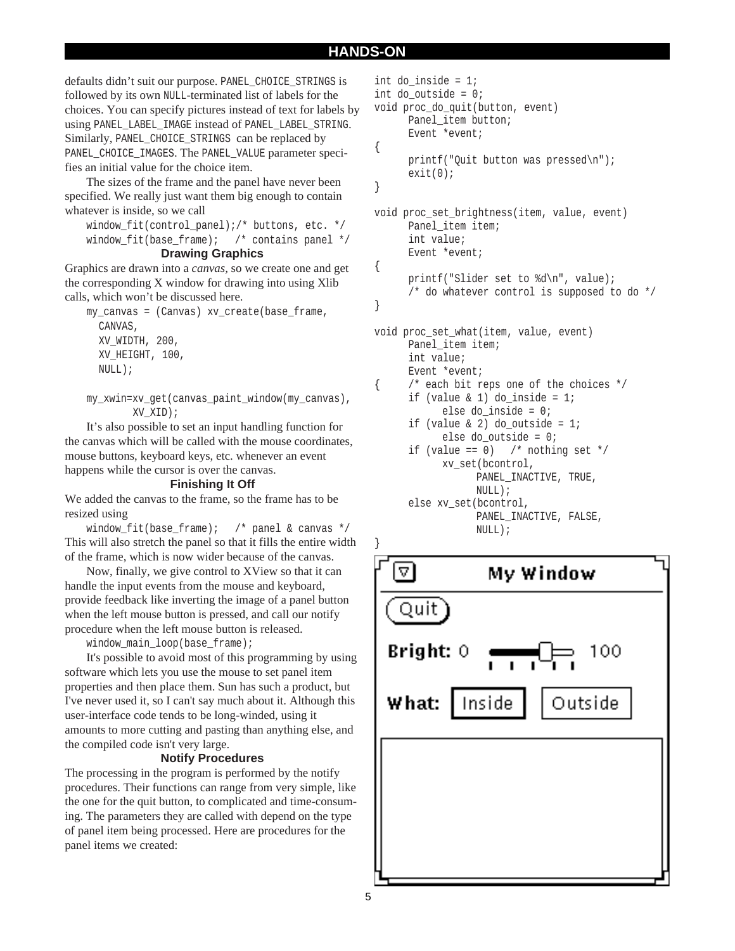defaults didn't suit our purpose. PANEL\_CHOICE\_STRINGS is followed by its own NULL-terminated list of labels for the choices. You can specify pictures instead of text for labels by using PANEL\_LABEL\_IMAGE instead of PANEL\_LABEL\_STRING. Similarly, PANEL\_CHOICE\_STRINGS can be replaced by PANEL\_CHOICE\_IMAGES. The PANEL\_VALUE parameter specifies an initial value for the choice item.

The sizes of the frame and the panel have never been specified. We really just want them big enough to contain whatever is inside, so we call

window\_fit(control\_panel);/\* buttons, etc. \*/ window fit(base frame); /\* contains panel \*/

#### **Drawing Graphics**

Graphics are drawn into a *canvas,* so we create one and get the corresponding X window for drawing into using Xlib calls, which won't be discussed here.

my\_canvas = (Canvas) xv\_create(base\_frame, CANVAS, XV\_WIDTH, 200, XV\_HEIGHT, 100, NULL);

```
my_xwin=xv_get(canvas_paint_window(my_canvas),
        XV_XID);
```
It's also possible to set an input handling function for the canvas which will be called with the mouse coordinates, mouse buttons, keyboard keys, etc. whenever an event happens while the cursor is over the canvas.

#### **Finishing It Off**

We added the canvas to the frame, so the frame has to be resized using

window\_fit(base\_frame); /\* panel & canvas \*/ This will also stretch the panel so that it fills the entire width of the frame, which is now wider because of the canvas.

Now, finally, we give control to XView so that it can handle the input events from the mouse and keyboard, provide feedback like inverting the image of a panel button when the left mouse button is pressed, and call our notify procedure when the left mouse button is released.

window\_main\_loop(base\_frame);

It's possible to avoid most of this programming by using software which lets you use the mouse to set panel item properties and then place them. Sun has such a product, but I've never used it, so I can't say much about it. Although this user-interface code tends to be long-winded, using it amounts to more cutting and pasting than anything else, and the compiled code isn't very large.

#### **Notify Procedures**

The processing in the program is performed by the notify procedures. Their functions can range from very simple, like the one for the quit button, to complicated and time-consuming. The parameters they are called with depend on the type of panel item being processed. Here are procedures for the panel items we created:

```
int do_inside = 1;
int do_outside = 0;
void proc_do_quit(button, event)
      Panel item button;
      Event *event;
{
      printf("Quit button was pressed\n");
      exit(0);}
void proc_set_brightness(item, value, event)
      Panel item item;
      int value;
      Event *event;
{
      printf("Slider set to %d\n", value);
      /* do whatever control is supposed to do */
}
void proc_set_what(item, value, event)
      Panel item item;
      int value;
      Event *event;
      /* each bit reps one of the choices */
      if (value \& 1) do inside = 1;
            else do_inside = 0;
```

```
if (value \& 2) do outside = 1;
      else do_outside = 0;
```

```
if (value == 0) /* nothing set */
     xv_set(bcontrol,
           PANEL_INACTIVE, TRUE,
           NULL);
else xv_set(bcontrol,
```

```
PANEL INACTIVE, FALSE,
NULL);
```
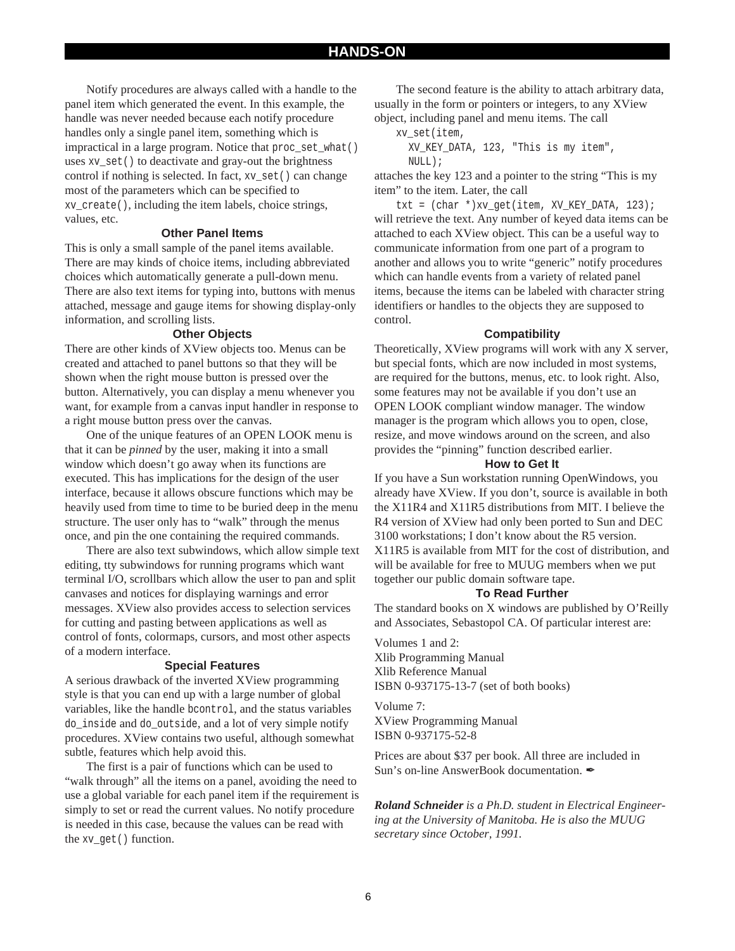Notify procedures are always called with a handle to the panel item which generated the event. In this example, the handle was never needed because each notify procedure handles only a single panel item, something which is impractical in a large program. Notice that proc\_set\_what() uses xv\_set() to deactivate and gray-out the brightness control if nothing is selected. In fact, xv\_set() can change most of the parameters which can be specified to xv\_create(), including the item labels, choice strings, values, etc.

#### **Other Panel Items**

This is only a small sample of the panel items available. There are may kinds of choice items, including abbreviated choices which automatically generate a pull-down menu. There are also text items for typing into, buttons with menus attached, message and gauge items for showing display-only information, and scrolling lists.

#### **Other Objects**

There are other kinds of XView objects too. Menus can be created and attached to panel buttons so that they will be shown when the right mouse button is pressed over the button. Alternatively, you can display a menu whenever you want, for example from a canvas input handler in response to a right mouse button press over the canvas.

One of the unique features of an OPEN LOOK menu is that it can be *pinned* by the user, making it into a small window which doesn't go away when its functions are executed. This has implications for the design of the user interface, because it allows obscure functions which may be heavily used from time to time to be buried deep in the menu structure. The user only has to "walk" through the menus once, and pin the one containing the required commands.

There are also text subwindows, which allow simple text editing, tty subwindows for running programs which want terminal I/O, scrollbars which allow the user to pan and split canvases and notices for displaying warnings and error messages. XView also provides access to selection services for cutting and pasting between applications as well as control of fonts, colormaps, cursors, and most other aspects of a modern interface.

#### **Special Features**

A serious drawback of the inverted XView programming style is that you can end up with a large number of global variables, like the handle bcontrol, and the status variables do\_inside and do\_outside, and a lot of very simple notify procedures. XView contains two useful, although somewhat subtle, features which help avoid this.

The first is a pair of functions which can be used to "walk through" all the items on a panel, avoiding the need to use a global variable for each panel item if the requirement is simply to set or read the current values. No notify procedure is needed in this case, because the values can be read with the xv\_get() function.

The second feature is the ability to attach arbitrary data, usually in the form or pointers or integers, to any XView object, including panel and menu items. The call

xv\_set(item,

XV\_KEY\_DATA, 123, "This is my item", NULL);

attaches the key 123 and a pointer to the string "This is my item" to the item. Later, the call

txt = (char \*)xv\_get(item, XV\_KEY\_DATA, 123); will retrieve the text. Any number of keyed data items can be attached to each XView object. This can be a useful way to communicate information from one part of a program to another and allows you to write "generic" notify procedures which can handle events from a variety of related panel items, because the items can be labeled with character string identifiers or handles to the objects they are supposed to control.

#### **Compatibility**

Theoretically, XView programs will work with any X server, but special fonts, which are now included in most systems, are required for the buttons, menus, etc. to look right. Also, some features may not be available if you don't use an OPEN LOOK compliant window manager. The window manager is the program which allows you to open, close, resize, and move windows around on the screen, and also provides the "pinning" function described earlier.

#### **How to Get It**

If you have a Sun workstation running OpenWindows, you already have XView. If you don't, source is available in both the X11R4 and X11R5 distributions from MIT. I believe the R4 version of XView had only been ported to Sun and DEC 3100 workstations; I don't know about the R5 version. X11R5 is available from MIT for the cost of distribution, and will be available for free to MUUG members when we put together our public domain software tape.

#### **To Read Further**

The standard books on X windows are published by O'Reilly and Associates, Sebastopol CA. Of particular interest are:

Volumes 1 and 2: Xlib Programming Manual Xlib Reference Manual ISBN 0-937175-13-7 (set of both books)

Volume 7: XView Programming Manual ISBN 0-937175-52-8

Prices are about \$37 per book. All three are included in Sun's on-line AnswerBook documentation.

*Roland Schneider is a Ph.D. student in Electrical Engineering at the University of Manitoba. He is also the MUUG secretary since October, 1991.*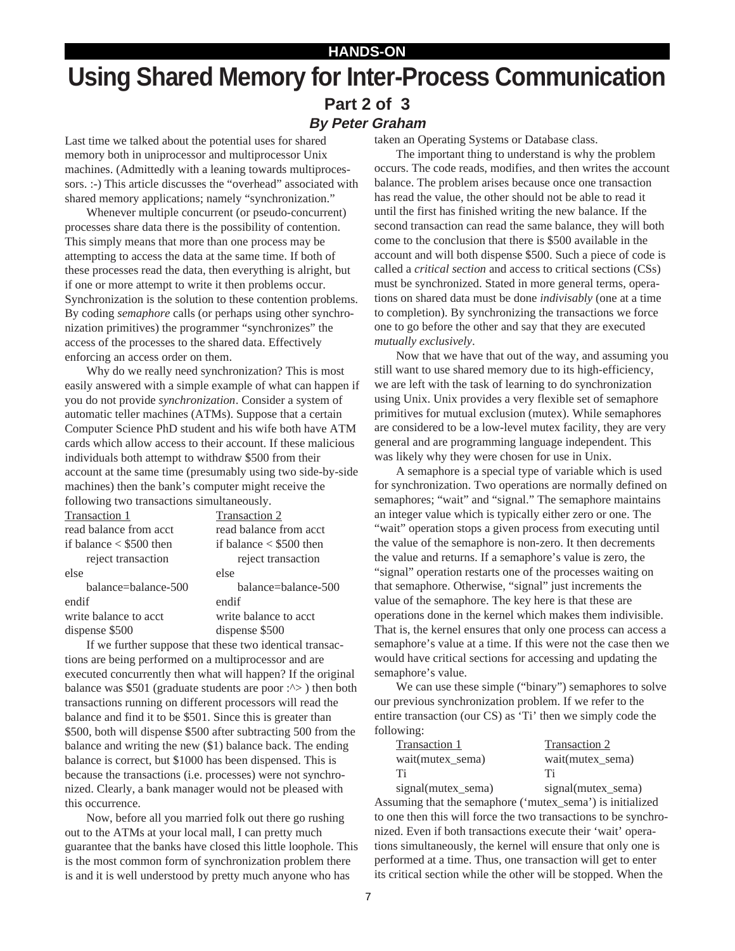# **HANDS-ON Using Shared Memory for Inter-Process Communication Part 2 of 3 By Peter Graham**

Last time we talked about the potential uses for shared memory both in uniprocessor and multiprocessor Unix machines. (Admittedly with a leaning towards multiprocessors. :-) This article discusses the "overhead" associated with shared memory applications; namely "synchronization."

Whenever multiple concurrent (or pseudo-concurrent) processes share data there is the possibility of contention. This simply means that more than one process may be attempting to access the data at the same time. If both of these processes read the data, then everything is alright, but if one or more attempt to write it then problems occur. Synchronization is the solution to these contention problems. By coding *semaphore* calls (or perhaps using other synchronization primitives) the programmer "synchronizes" the access of the processes to the shared data. Effectively enforcing an access order on them.

Why do we really need synchronization? This is most easily answered with a simple example of what can happen if you do not provide *synchronization*. Consider a system of automatic teller machines (ATMs). Suppose that a certain Computer Science PhD student and his wife both have ATM cards which allow access to their account. If these malicious individuals both attempt to withdraw \$500 from their account at the same time (presumably using two side-by-side machines) then the bank's computer might receive the following two transactions simultaneously.

| Transaction 1                   | Transaction 2                   |
|---------------------------------|---------------------------------|
| read balance from acct          | read balance from acct          |
| if balance $\langle$ \$500 then | if balance $\langle$ \$500 then |
| reject transaction              | reject transaction              |
| else                            | else                            |
| balance=balance-500             | balance=balance-500             |
| endif                           | endif                           |
| write balance to acct           | write balance to acct           |
| dispense \$500                  | dispense \$500                  |
|                                 |                                 |

If we further suppose that these two identical transactions are being performed on a multiprocessor and are executed concurrently then what will happen? If the original balance was \$501 (graduate students are poor  $\cdot$   $\cdot$  ) then both transactions running on different processors will read the balance and find it to be \$501. Since this is greater than \$500, both will dispense \$500 after subtracting 500 from the balance and writing the new (\$1) balance back. The ending balance is correct, but \$1000 has been dispensed. This is because the transactions (i.e. processes) were not synchronized. Clearly, a bank manager would not be pleased with this occurrence.

Now, before all you married folk out there go rushing out to the ATMs at your local mall, I can pretty much guarantee that the banks have closed this little loophole. This is the most common form of synchronization problem there is and it is well understood by pretty much anyone who has

taken an Operating Systems or Database class.

The important thing to understand is why the problem occurs. The code reads, modifies, and then writes the account balance. The problem arises because once one transaction has read the value, the other should not be able to read it until the first has finished writing the new balance. If the second transaction can read the same balance, they will both come to the conclusion that there is \$500 available in the account and will both dispense \$500. Such a piece of code is called a *critical section* and access to critical sections (CSs) must be synchronized. Stated in more general terms, operations on shared data must be done *indivisably* (one at a time to completion). By synchronizing the transactions we force one to go before the other and say that they are executed *mutually exclusively*.

Now that we have that out of the way, and assuming you still want to use shared memory due to its high-efficiency, we are left with the task of learning to do synchronization using Unix. Unix provides a very flexible set of semaphore primitives for mutual exclusion (mutex). While semaphores are considered to be a low-level mutex facility, they are very general and are programming language independent. This was likely why they were chosen for use in Unix.

A semaphore is a special type of variable which is used for synchronization. Two operations are normally defined on semaphores; "wait" and "signal." The semaphore maintains an integer value which is typically either zero or one. The "wait" operation stops a given process from executing until the value of the semaphore is non-zero. It then decrements the value and returns. If a semaphore's value is zero, the "signal" operation restarts one of the processes waiting on that semaphore. Otherwise, "signal" just increments the value of the semaphore. The key here is that these are operations done in the kernel which makes them indivisible. That is, the kernel ensures that only one process can access a semaphore's value at a time. If this were not the case then we would have critical sections for accessing and updating the semaphore's value.

We can use these simple ("binary") semaphores to solve our previous synchronization problem. If we refer to the entire transaction (our CS) as 'Ti' then we simply code the following:

| Transaction 1    | Transaction 2    |
|------------------|------------------|
| wait(mutex_sema) | wait(mutex_sema) |
| - Ti             | Тï               |
| $\mathbf{1}$     | $\mathbf{1}$     |

signal(mutex\_sema) signal(mutex\_sema) Assuming that the semaphore ('mutex\_sema') is initialized to one then this will force the two transactions to be synchronized. Even if both transactions execute their 'wait' operations simultaneously, the kernel will ensure that only one is performed at a time. Thus, one transaction will get to enter its critical section while the other will be stopped. When the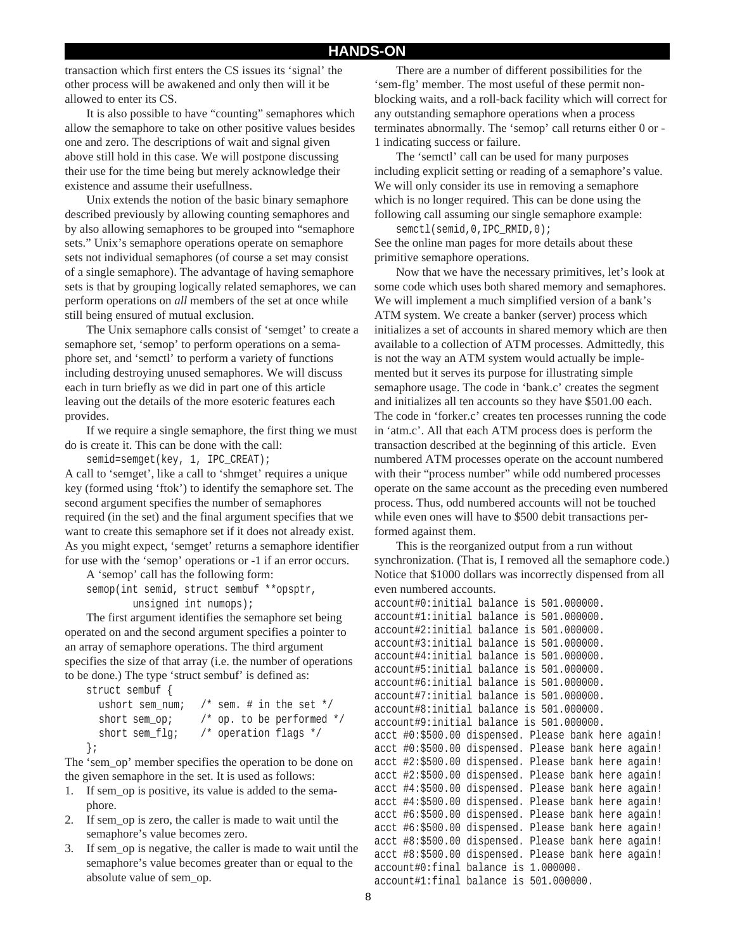transaction which first enters the CS issues its 'signal' the other process will be awakened and only then will it be allowed to enter its CS.

It is also possible to have "counting" semaphores which allow the semaphore to take on other positive values besides one and zero. The descriptions of wait and signal given above still hold in this case. We will postpone discussing their use for the time being but merely acknowledge their existence and assume their usefullness.

Unix extends the notion of the basic binary semaphore described previously by allowing counting semaphores and by also allowing semaphores to be grouped into "semaphore sets." Unix's semaphore operations operate on semaphore sets not individual semaphores (of course a set may consist of a single semaphore). The advantage of having semaphore sets is that by grouping logically related semaphores, we can perform operations on *all* members of the set at once while still being ensured of mutual exclusion.

The Unix semaphore calls consist of 'semget' to create a semaphore set, 'semop' to perform operations on a semaphore set, and 'semctl' to perform a variety of functions including destroying unused semaphores. We will discuss each in turn briefly as we did in part one of this article leaving out the details of the more esoteric features each provides.

If we require a single semaphore, the first thing we must do is create it. This can be done with the call:

semid=semget(key, 1, IPC\_CREAT);

A call to 'semget', like a call to 'shmget' requires a unique key (formed using 'ftok') to identify the semaphore set. The second argument specifies the number of semaphores required (in the set) and the final argument specifies that we want to create this semaphore set if it does not already exist. As you might expect, 'semget' returns a semaphore identifier for use with the 'semop' operations or -1 if an error occurs.

A 'semop' call has the following form:

semop(int semid, struct sembuf \*\*opsptr, unsigned int numops);

The first argument identifies the semaphore set being operated on and the second argument specifies a pointer to an array of semaphore operations. The third argument specifies the size of that array (i.e. the number of operations to be done.) The type 'struct sembuf' is defined as:

```
struct sembuf {
  ushort sem_num; /* sem. # in the set */
  short sem_op; /* op. to be performed */
  short sem_flg; /* operation flags */
};
```
The 'sem\_op' member specifies the operation to be done on the given semaphore in the set. It is used as follows:

- 1. If sem\_op is positive, its value is added to the semaphore.
- 2. If sem\_op is zero, the caller is made to wait until the semaphore's value becomes zero.
- 3. If sem\_op is negative, the caller is made to wait until the semaphore's value becomes greater than or equal to the absolute value of sem\_op.

There are a number of different possibilities for the 'sem-flg' member. The most useful of these permit nonblocking waits, and a roll-back facility which will correct for any outstanding semaphore operations when a process terminates abnormally. The 'semop' call returns either 0 or - 1 indicating success or failure.

The 'semctl' call can be used for many purposes including explicit setting or reading of a semaphore's value. We will only consider its use in removing a semaphore which is no longer required. This can be done using the following call assuming our single semaphore example:

semctl(semid,0,IPC\_RMID,0); See the online man pages for more details about these primitive semaphore operations.

Now that we have the necessary primitives, let's look at some code which uses both shared memory and semaphores. We will implement a much simplified version of a bank's ATM system. We create a banker (server) process which initializes a set of accounts in shared memory which are then available to a collection of ATM processes. Admittedly, this is not the way an ATM system would actually be implemented but it serves its purpose for illustrating simple semaphore usage. The code in 'bank.c' creates the segment and initializes all ten accounts so they have \$501.00 each. The code in 'forker.c' creates ten processes running the code in 'atm.c'. All that each ATM process does is perform the transaction described at the beginning of this article. Even numbered ATM processes operate on the account numbered with their "process number" while odd numbered processes operate on the same account as the preceding even numbered process. Thus, odd numbered accounts will not be touched while even ones will have to \$500 debit transactions performed against them.

This is the reorganized output from a run without synchronization. (That is, I removed all the semaphore code.) Notice that \$1000 dollars was incorrectly dispensed from all even numbered accounts.

```
account#0:initial balance is 501.000000.
account#1:initial balance is 501.000000.
account#2:initial balance is 501.000000.
account#3:initial balance is 501.000000.
account#4:initial balance is 501.000000.
account#5:initial balance is 501.000000.
account#6:initial balance is 501.000000.
account#7:initial balance is 501.000000.
account#8:initial balance is 501.000000.
account#9:initial balance is 501.000000.
acct #0:$500.00 dispensed. Please bank here again!
acct #0:$500.00 dispensed. Please bank here again!
acct #2:$500.00 dispensed. Please bank here again!
acct #2:$500.00 dispensed. Please bank here again!
acct #4:$500.00 dispensed. Please bank here again!
acct #4:$500.00 dispensed. Please bank here again!
acct #6:$500.00 dispensed. Please bank here again!
acct #6:$500.00 dispensed. Please bank here again!
acct #8:$500.00 dispensed. Please bank here again!
acct #8:$500.00 dispensed. Please bank here again!
account#0:final balance is 1.000000.
account#1:final balance is 501.000000.
```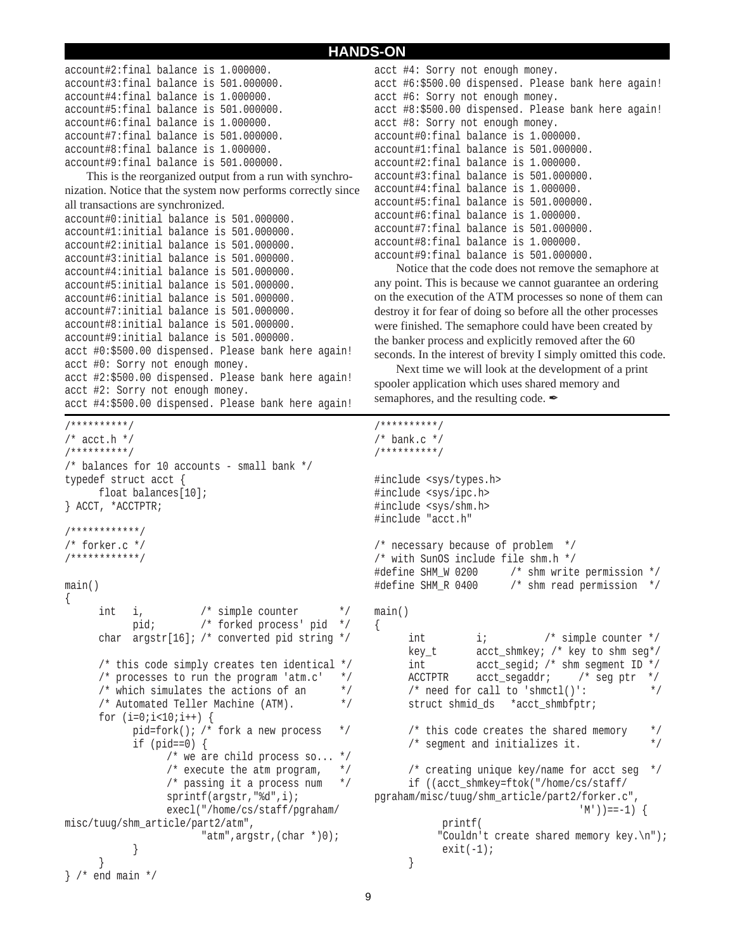```
account#2:final balance is 1.000000.
account#3:final balance is 501.000000.
account#4:final balance is 1.000000.
account#5:final balance is 501.000000.
account#6:final balance is 1.000000.
account#7:final balance is 501.000000.
account#8:final balance is 1.000000.
account#9:final balance is 501.000000.
   This is the reorganized output from a run with synchro-
nization. Notice that the system now performs correctly since
all transactions are synchronized.
account#0:initial balance is 501.000000.
account#1:initial balance is 501.000000.
account#2:initial balance is 501.000000.
account#3:initial balance is 501.000000.
account#4:initial balance is 501.000000.
account#5:initial balance is 501.000000.
account#6:initial balance is 501.000000.
account#7:initial balance is 501.000000.
account#8:initial balance is 501.000000.
account#9:initial balance is 501.000000.
acct #0:$500.00 dispensed. Please bank here again!
acct #0: Sorry not enough money.
acct #2:$500.00 dispensed. Please bank here again!
acct #2: Sorry not enough money.
acct #4:$500.00 dispensed. Please bank here again!
/**********/
/* acct.h *//**********/
/* balances for 10 accounts - small bank */
typedef struct acct {
     float balances[10];
} ACCT, *ACCTPTR;
/************/
/* forker.c */
/************/
main()
{
      int i, /* simple counter */
            pid; /* forked process' pid */
      char argstr[16]; /* converted pid string */
      /* this code simply creates ten identical */
      \frac{1}{2} processes to run the program 'atm.c' */
      /* which simulates the actions of an */* Automated Teller Machine (ATM). */
      for (i=0; i<10; i++) {
           pid=fork(); /* fork a new process */
            if (pid==0) {
                  /* we are child process so... */
                  /* execute the atm program, *//* passing it a process num */
                  sprintf(argstr,"%d",i);
                  execl("/home/cs/staff/pgraham/
misc/tuug/shm_article/part2/atm",
                         "atm",argstr,(char *)0);
            }
      }
} /* end main */
```

```
acct #4: Sorry not enough money.
acct #6:$500.00 dispensed. Please bank here again!
acct #6: Sorry not enough money.
acct #8:$500.00 dispensed. Please bank here again!
acct #8: Sorry not enough money.
account#0:final balance is 1.000000.
account#1:final balance is 501.000000.
account#2:final balance is 1.000000.
account#3:final balance is 501.000000.
account#4:final balance is 1.000000.
account#5:final balance is 501.000000.
account#6:final balance is 1.000000.
account#7:final balance is 501.000000.
account#8:final balance is 1.000000.
account#9:final balance is 501.000000.
```
Notice that the code does not remove the semaphore at any point. This is because we cannot guarantee an ordering on the execution of the ATM processes so none of them can destroy it for fear of doing so before all the other processes were finished. The semaphore could have been created by the banker process and explicitly removed after the 60 seconds. In the interest of brevity I simply omitted this code.

Next time we will look at the development of a print spooler application which uses shared memory and semaphores, and the resulting code.  $\mathscr{L}$ 

```
/**********/
/* bank.c *//**********/
#include <sys/types.h>
#include <sys/ipc.h>
#include <sys/shm.h>
#include "acct.h"
/* necessary because of problem */
/* with SunOS include file shm.h */
#define SHM_W 0200 /* shm write permission */
#define SHM_R 0400 /* shm read permission */
main()
{
     int i; /* simple counter */
     key_t acct_shmkey; /* key to shm seg*/
     int \qquad acct segid; /* shm segment ID */ACCTPTR acct_segaddr; /* seg ptr */
     /* need for call to 'shmctl()': */
     struct shmid ds *acct shmbfptr;
     /* this code creates the shared memory */
     /* segment and initializes it. */
     /* creating unique key/name for acct seg */
     if ((acct_shmkey=ftok("/home/cs/staff/
pgraham/misc/tuug/shm_article/part2/forker.c",
                                 (M')) ==-1) {
          printf(
           "Couldn't create shared memory key.\n");
           exit(-1);}
```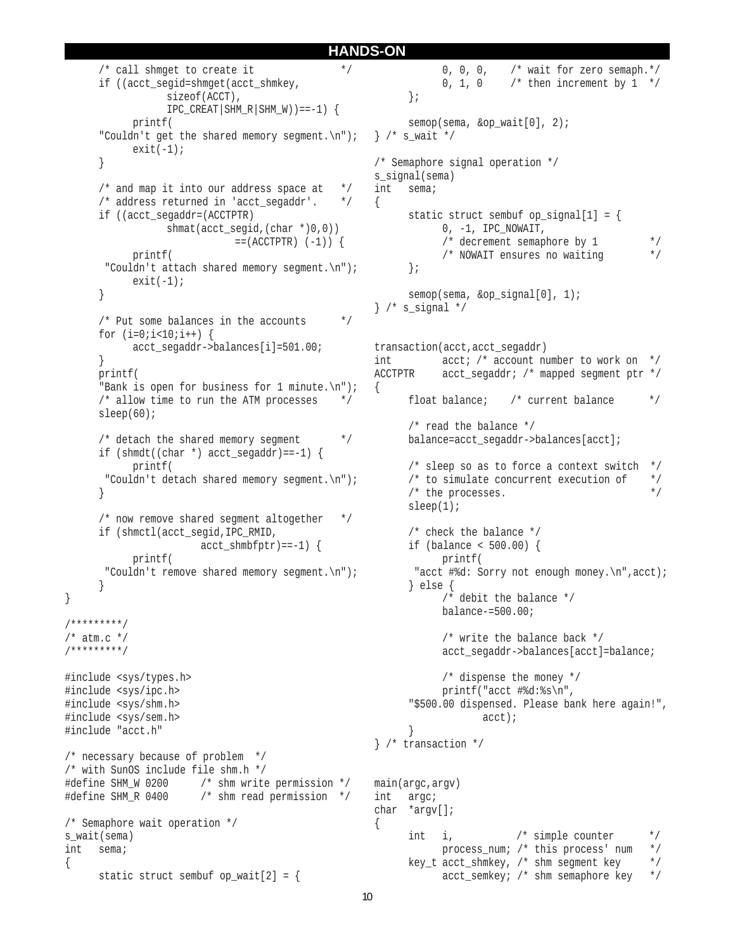```
/* call shmqet to create it *if ((acct_segid=shmget(acct_shmkey,
                  sizeof(ACCT),
                  IPC_CREAT|SHM_R|SHM_W) ==-1) {
            printf(
      "Couldn't get the shared memory segment.\n \n \begin{bmatrix}\n n' \\
 n' \\
 n''\n \end{bmatrix};
            exit(-1);}
      /* and map it into our address space at *//* address returned in 'acct segaddr'. */
      if ((acct_segaddr=(ACCTPTR)
                  shmat(acct segid,(char *)0,0))
                              = (ACCTPTR) (-1)) {
            printf(
        "Couldn't attach shared memory segment.\n");
            exit(-1);}
      /* Put some balances in the accounts */
      for (i=0; i<10; i++) {
            acct segaddr->balances[i]=501.00;
      }
      printf(
      "Bank is open for business for 1 minute.\n \n \begin{bmatrix}\n 1 \\
 0\n \end{bmatrix}/* allow time to run the ATM processes */
      sleep(60);
      /* detach the shared memory seqment *if (shmdt((char *) acct segaddr)==-1) {
            printf(
        "Couldn't detach shared memory segment.\n");
      }
      /* now remove shared segment altogether */
      if (shmctl(acct_segid,IPC_RMID,
                        acct shmbfptr)==-1) {
           printf(
        "Couldn't remove shared memory segment.\n");
      }
}
/*********/
/* atm.c *//*********/
#include <sys/types.h>
#include <sys/ipc.h>
#include <sys/shm.h>
#include <sys/sem.h>
#include "acct.h"
/* necessary because of problem */
/* with SunOS include file shm.h */
#define SHM W 0200 /* shm write permission */
#define SHM_R 0400 /* shm read permission */
/* Semaphore wait operation */
s wait(sema)
int sema;
{
      static struct sembuf op\_wait[2] = \{{
                                                        {
                                                               }
                                                        {
```

```
0, 0, 0, /* wait for zero semaph.*/
           0, 1, 0 \prime then increment by 1 */};
      semop(sema, &op_wait[0], 2);
\} /* s wait */
/* Semaphore signal operation */
s signal(sema)
int sema;
      static struct sembuf op signal[1] = {
           0, -1, IPC_NOWAIT,
            /* decrement semaphore by 1 */
           /* NOWAIT ensures no waiting */
      };
      semop(sema, &op signal[0], 1);
} /* s_signal */
transaction(acct,acct_segaddr)
int acct; /* account number to work on */
ACCTPTR acct_segaddr; /* mapped segment ptr */
      float balance; /* current balance */
      /* read the balance */
      balance=acct_segaddr->balances[acct];
      /* sleep so as to force a context switch */
      /* to simulate concurrent execution of */
      \prime^* the processes. \primesleep(1);
      /* check the balance */
      if (balance < 500.00) {
           printf(
        "acct #%d: Sorry not enough money.\n",acct);
      } else {
           /* debit the balance */
           balance-=500.00;
           /* write the balance back */
           acct segaddr->balances[acct]=balance;
           /* dispense the money */
           printf("acct #%d:%s\n",
      "$500.00 dispensed. Please bank here again!",
                   acct);
} /* transaction */
main(argc,argv)
int argc;
char *argv[];
      int i, /* simple counter */
           process num; /* this process' num */
      key_t acct_shmkey, /* shm segment key */
```
acct\_semkey; /\* shm semaphore key \*/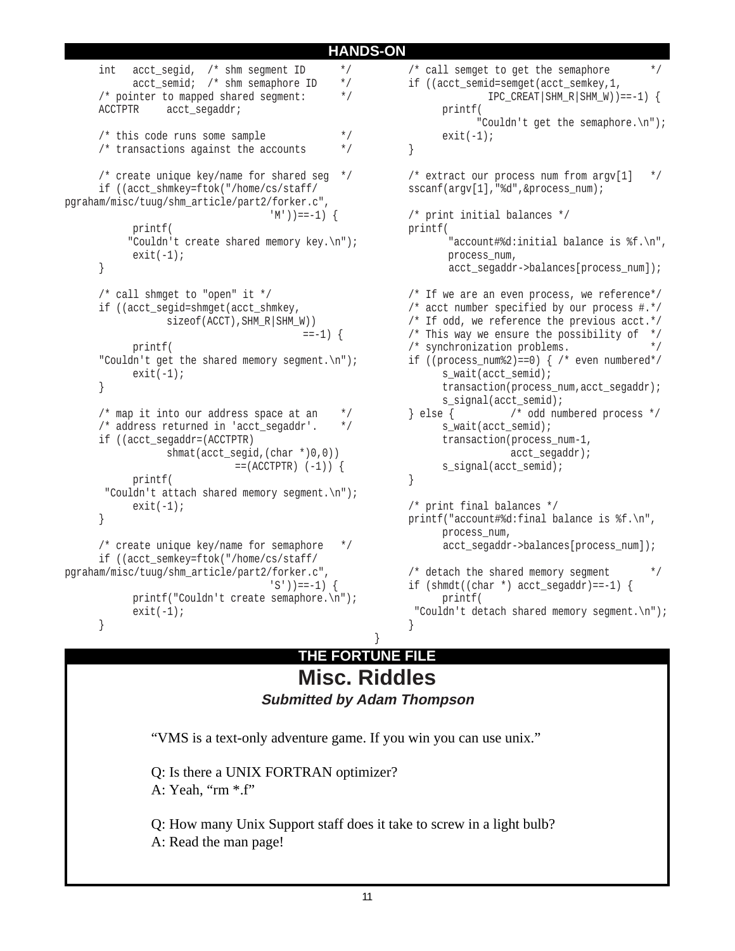```
int acct_segid, /* shm segment ID */
           acct_semid; /* shm semaphore ID */
     /* pointer to mapped shared segment: */
     ACCTPTR acct_segaddr;
     /* this code runs some sample */* transactions against the accounts */* create unique key/name for shared seg */
     if ((acct_shmkey=ftok("/home/cs/staff/
pgraham/misc/tuug/shm_article/part2/forker.c",
                                 (M')) ==-1) {
           printf(
           "Couldn't create shared memory key.\n");
           exit(-1);}
     /* call shmget to "open" it */
     if ((acct_segid=shmget(acct_shmkey,
                 sizeof(ACCT),SHM_R|SHM_W))
                                        ==-1) {
           printf(
     "Couldn't get the shared memory segment.\n");
           exit(-1);}
     /* map it into our address space at an */* address returned in 'acct segaddr'. */
     if ((acct_segaddr=(ACCTPTR)
                 shmat(acct^{\text{seqid}}(char ^{*})0,0))= (ACCTPTR) (-1)) {
           printf(
       "Couldn't attach shared memory segment.\n");
           exit(-1);}
     /* create unique key/name for semaphore */
     if ((acct_semkey=ftok("/home/cs/staff/
pgraham/misc/tuug/shm_article/part2/forker.c",
                                  'S')) ==-1) {
           printf("Couldn't create semaphore.\n");
           exit(-1);}
```
 $/*$  call semget to get the semaphore if ((acct\_semid=semget(acct\_semkey,1,  $IPC_CREAT|SHM_R|SHM_W)$ ) ==-1) { printf( "Couldn't get the semaphore.\n");  $exit(-1);$ } /\* extract our process num from argv[1] \*/ sscanf(argv[1],"%d",&process\_num); /\* print initial balances \*/ printf( "account#%d:initial balance is %f.\n", process\_num, acct segaddr->balances[process num]); /\* If we are an even process, we reference\*/ /\* acct number specified by our process #.\*/ /\* If odd, we reference the previous acct.\*/ /\* This way we ensure the possibility of  $*/$ /\* synchronization problems. \*/ if ((process\_num%2)==0) {  $/*$  even numbered\*/ s\_wait(acct\_semid); transaction(process\_num,acct\_segaddr); s\_signal(acct\_semid); } else { /\* odd numbered process \*/ s wait(acct semid); transaction(process\_num-1, acct\_segaddr); s signal(acct semid); } /\* print final balances \*/ printf("account#%d:final balance is %f.\n", process\_num, acct segaddr->balances[process\_num]);  $/*$  detach the shared memory segment  $*$ if  $(\sh{mdt} ((\ch{ar *}) acct_segaddr) == -1)$  { printf( "Couldn't detach shared memory segment.\n"); }

# } **THE FORTUNE FILE Misc. Riddles**

**Submitted by Adam Thompson**

"VMS is a text-only adventure game. If you win you can use unix."

Q: Is there a UNIX FORTRAN optimizer? A: Yeah, "rm \*.f"

Q: How many Unix Support staff does it take to screw in a light bulb? A: Read the man page!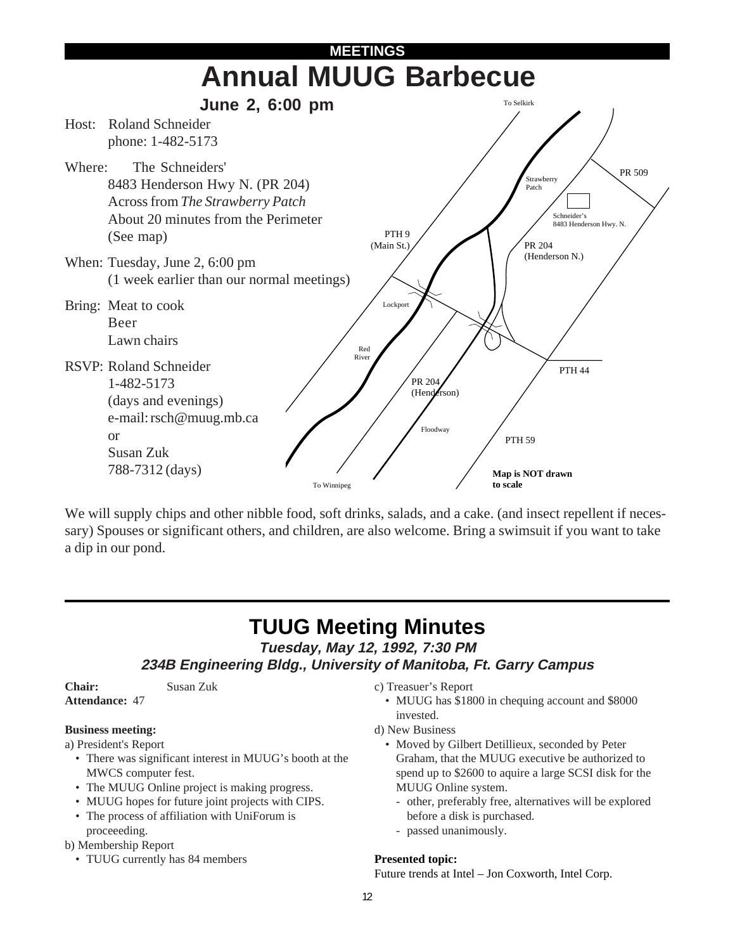

We will supply chips and other nibble food, soft drinks, salads, and a cake. (and insect repellent if necessary) Spouses or significant others, and children, are also welcome. Bring a swimsuit if you want to take a dip in our pond.

# **TUUG Meeting Minutes**

**Tuesday, May 12, 1992, 7:30 PM**

**234B Engineering Bldg., University of Manitoba, Ft. Garry Campus**

**Chair:** Susan Zuk **Attendance:** 47

# **Business meeting:**

- a) President's Report
	- There was significant interest in MUUG's booth at the MWCS computer fest.
	- The MUUG Online project is making progress.
	- MUUG hopes for future joint projects with CIPS.
	- The process of affiliation with UniForum is proceeeding.
- b) Membership Report
	- TUUG currently has 84 members

c) Treasuer's Report

- MUUG has \$1800 in chequing account and \$8000 invested.
- d) New Business
	- Moved by Gilbert Detillieux, seconded by Peter Graham, that the MUUG executive be authorized to spend up to \$2600 to aquire a large SCSI disk for the MUUG Online system.
		- other, preferably free, alternatives will be explored before a disk is purchased.
		- passed unanimously.

# **Presented topic:**

Future trends at Intel – Jon Coxworth, Intel Corp.